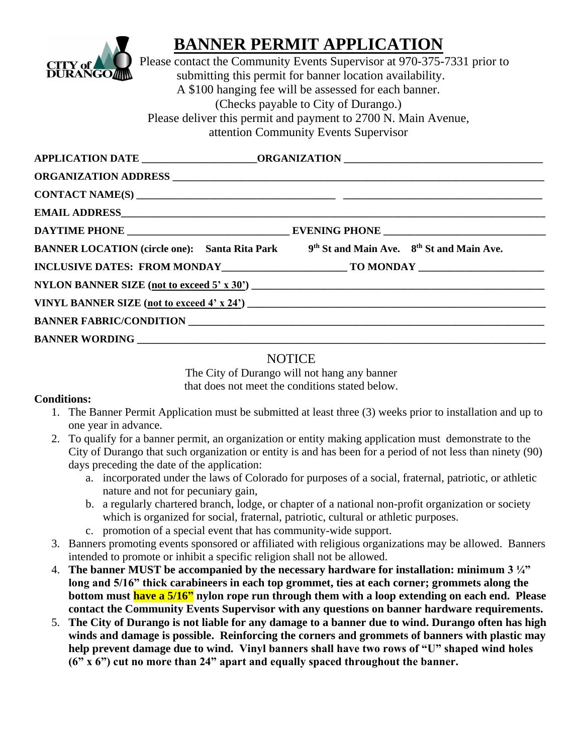

## **BANNER PERMIT APPLICATION**

Please contact the Community Events Supervisor at 970-375-7331 prior to submitting this permit for banner location availability. A \$100 hanging fee will be assessed for each banner. (Checks payable to City of Durango.) Please deliver this permit and payment to 2700 N. Main Avenue, attention Community Events Supervisor

| BANNER LOCATION (circle one): Santa Rita Park 9 <sup>th</sup> St and Main Ave. 8 <sup>th</sup> St and Main Ave. |  |
|-----------------------------------------------------------------------------------------------------------------|--|
|                                                                                                                 |  |
|                                                                                                                 |  |
|                                                                                                                 |  |
|                                                                                                                 |  |
|                                                                                                                 |  |

## **NOTICE**

The City of Durango will not hang any banner that does not meet the conditions stated below.

## **Conditions:**

- 1. The Banner Permit Application must be submitted at least three (3) weeks prior to installation and up to one year in advance.
- 2. To qualify for a banner permit, an organization or entity making application must demonstrate to the City of Durango that such organization or entity is and has been for a period of not less than ninety (90) days preceding the date of the application:
	- a. incorporated under the laws of Colorado for purposes of a social, fraternal, patriotic, or athletic nature and not for pecuniary gain,
	- b. a regularly chartered branch, lodge, or chapter of a national non-profit organization or society which is organized for social, fraternal, patriotic, cultural or athletic purposes.
	- c. promotion of a special event that has community-wide support.
- 3. Banners promoting events sponsored or affiliated with religious organizations may be allowed. Banners intended to promote or inhibit a specific religion shall not be allowed.
- 4. **The banner MUST be accompanied by the necessary hardware for installation: minimum 3 ¼" long and 5/16" thick carabineers in each top grommet, ties at each corner; grommets along the bottom must have a 5/16" nylon rope run through them with a loop extending on each end. Please contact the Community Events Supervisor with any questions on banner hardware requirements.**
- 5. **The City of Durango is not liable for any damage to a banner due to wind. Durango often has high winds and damage is possible. Reinforcing the corners and grommets of banners with plastic may help prevent damage due to wind. Vinyl banners shall have two rows of "U" shaped wind holes (6" x 6") cut no more than 24" apart and equally spaced throughout the banner.**